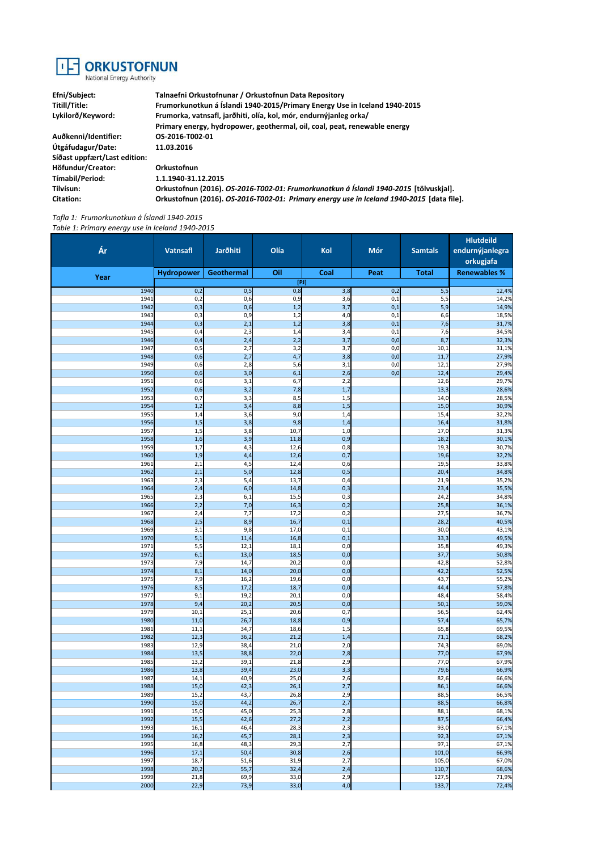

**Efni/Subject: Talnaefni Orkustofnunar / Orkustofnun Data Repository Titill/Title: Frumorkunotkun á Íslandi 1940-2015/Primary Energy Use in Iceland 1940-2015 Lykilorð/Keyword: Frumorka, vatnsafl, jarðhiti, olía, kol, mór, endurnýjanleg orka/ Primary energy, hydropower, geothermal, oil, coal, peat, renewable energy Auðkenni/Identifier: OS-2016-T002-01 Útgáfudagur/Date: 11.03.2016 Síðast uppfært/Last edition: Höfundur/Creator: Orkustofnun Tímabil/Period: 1.1.1940-31.12.2015 Tilvísun: Orkustofnun (2016).** *OS-2016-T002-01: Frumorkunotkun á Íslandi 1940-2015* **[tölvuskjal]. Citation: Orkustofnun (2016).** *OS-2016-T002-01: Primary energy use in Iceland 1940-2015* **[data file].**

*Tafla 1: Frumorkunotkun á Íslandi 1940-2015 Table 1: Primary energy use in Iceland 1940-2015*

| Ár           | <b>Vatnsafl</b>   | Jarðhiti     | Olía         | Kol        | Mór        | <b>Samtals</b> | <b>Hlutdeild</b><br>endurnýjanlegra<br>orkugjafa |
|--------------|-------------------|--------------|--------------|------------|------------|----------------|--------------------------------------------------|
| Year         | <b>Hydropower</b> | Geothermal   | Oil          | Coal       | Peat       | <b>Total</b>   | <b>Renewables %</b>                              |
|              |                   |              |              | [PI]       |            |                |                                                  |
| 1940<br>1941 | 0,2<br>0,2        | 0,5<br>0,6   | 0,8<br>0,9   | 3,8<br>3,6 | 0,2<br>0,1 | 5,5<br>5,5     | 12,4%<br>14,2%                                   |
| 1942         | 0,3               | 0,6          | 1,2          | 3,7        | 0,1        | 5,9            | 14,9%                                            |
| 1943         | 0,3               | 0,9          | 1,2          | 4,0        | 0,1        | 6,6            | 18,5%                                            |
| 1944<br>1945 | 0,3<br>0,4        | 2,1<br>2,3   | 1,2<br>1,4   | 3,8<br>3,4 | 0,1<br>0,1 | 7,6<br>7,6     | 31,7%<br>34,5%                                   |
| 1946         | 0,4               | 2,4          | 2,2          | 3,7        | 0,0        | 8,7            | 32,3%                                            |
| 1947         | 0,5               | 2,7          | 3,2          | 3,7        | 0,0        | 10,1           | 31,1%                                            |
| 1948<br>1949 | 0,6<br>0,6        | 2,7<br>2,8   | 4,7<br>5,6   | 3,8<br>3,1 | 0,0<br>0,0 | 11,7<br>12,1   | 27,9%<br>27,9%                                   |
| 1950         | 0,6               | 3,0          | 6,1          | 2,6        | 0,0        | 12,4           | 29,4%                                            |
| 1951         | 0,6               | 3,1          | 6,7          | 2,2        |            | 12,6           | 29,7%                                            |
| 1952<br>1953 | 0,6<br>0,7        | 3,2<br>3,3   | 7,8<br>8,5   | 1,7<br>1,5 |            | 13,3<br>14,0   | 28,6%<br>28,5%                                   |
| 1954         | 1,2               | 3,4          | 8,8          | 1,5        |            | 15,0           | 30,9%                                            |
| 1955         | 1,4               | 3,6          | 9,0          | 1,4        |            | 15,4           | 32,2%                                            |
| 1956<br>1957 | 1,5<br>1,5        | 3,8<br>3,8   | 9,8<br>10,7  | 1,4<br>1,0 |            | 16,4<br>17,0   | 31,8%<br>31,3%                                   |
| 1958         | 1,6               | 3,9          | 11,8         | 0,9        |            | 18,2           | 30,1%                                            |
| 1959         | 1,7               | 4,3          | 12,6         | 0,8        |            | 19,3           | 30,7%                                            |
| 1960<br>1961 | 1,9<br>2,1        | 4,4<br>4,5   | 12,6<br>12,4 | 0,7<br>0,6 |            | 19,6<br>19,5   | 32,2%<br>33,8%                                   |
| 1962         | 2,1               | 5,0          | 12,8         | 0,5        |            | 20,4           | 34,8%                                            |
| 1963         | 2,3               | 5,4          | 13,7         | 0,4        |            | 21,9           | 35,2%                                            |
| 1964<br>1965 | 2,4<br>2,3        | 6,0<br>6,1   | 14,8<br>15,5 | 0,3<br>0,3 |            | 23,4<br>24,2   | 35,5%<br>34,8%                                   |
| 1966         | 2,2               | 7,0          | 16,3         | 0,2        |            | 25,8           | 36,1%                                            |
| 1967         | 2,4               | 7,7          | 17,2         | 0,2        |            | 27,5           | 36,7%                                            |
| 1968<br>1969 | 2,5<br>3,1        | 8,9<br>9,8   | 16,7<br>17,0 | 0,1<br>0,1 |            | 28,2<br>30,0   | 40,5%<br>43,1%                                   |
| 1970         | 5,1               | 11,4         | 16,8         | 0,1        |            | 33,3           | 49,5%                                            |
| 1971         | 5,5               | 12,1         | 18,1         | 0,0        |            | 35,8           | 49,3%                                            |
| 1972<br>1973 | 6,1<br>7,9        | 13,0<br>14,7 | 18,5<br>20,2 | 0,0<br>0,0 |            | 37,7<br>42,8   | 50,8%<br>52,8%                                   |
| 1974         | 8,1               | 14,0         | 20,0         | 0,0        |            | 42,2           | 52,5%                                            |
| 1975         | 7,9               | 16,2         | 19,6         | 0,0        |            | 43,7           | 55,2%                                            |
| 1976<br>1977 | 8,5<br>9,1        | 17,2<br>19,2 | 18,7<br>20,1 | 0,0<br>0,0 |            | 44,4<br>48,4   | 57,8%<br>58,4%                                   |
| 1978         | 9,4               | 20,2         | 20,5         | 0,0        |            | 50,1           | 59,0%                                            |
| 1979         | 10,1              | 25,1         | 20,6         | 0,7        |            | 56,5           | 62,4%                                            |
| 1980<br>1981 | 11,0<br>11,1      | 26,7<br>34,7 | 18,8<br>18,6 | 0,9<br>1,5 |            | 57,4<br>65,8   | 65,7%<br>69,5%                                   |
| 1982         | 12,3              | 36,2         | 21,2         | 1,4        |            | 71,1           | 68,2%                                            |
| 1983         | 12,9              | 38,4         | 21,0         | 2,0        |            | 74,3           | 69,0%                                            |
| 1984<br>1985 | 13,5<br>13,2      | 38,8<br>39,1 | 22,0<br>21,8 | 2,8<br>2,9 |            | 77,0<br>77,0   | 67,9%<br>67,9%                                   |
| 1986         | 13,8              | 39,4         | 23,0         | 3,3        |            | 79,6           | 66,9%                                            |
| 1987         | 14,1              | 40,9         | 25,0         | 2,6        |            | 82,6           | 66,6%                                            |
| 1988<br>1989 | 15,0              | 42,3<br>43,7 | 26,1         | 2,7        |            | 86,1<br>88,5   | 66,6%                                            |
| 1990         | 15,2<br>15,0      | 44,2         | 26,8<br>26,7 | 2,9<br>2,7 |            | 88,5           | 66,5%<br>66,8%                                   |
| 1991         | 15,0              | 45,0         | 25,3         | 2,8        |            | 88,1           | 68,1%                                            |
| 1992         | 15,5              | 42,6         | 27,2         | 2,2        |            | 87,5           | 66,4%                                            |
| 1993<br>1994 | 16,1<br>16,2      | 46,4<br>45,7 | 28,3<br>28,1 | 2,3<br>2,3 |            | 93,0<br>92,3   | 67,1%<br>67,1%                                   |
| 1995         | 16,8              | 48,3         | 29,3         | 2,7        |            | 97,1           | 67,1%                                            |
| 1996         | 17,1              | 50,4         | 30,8         | 2,6        |            | 101,0          | 66,9%                                            |
| 1997<br>1998 | 18,7<br>20,2      | 51,6<br>55,7 | 31,9<br>32,4 | 2,7<br>2,4 |            | 105,0<br>110,7 | 67,0%<br>68,6%                                   |
| 1999         | 21,8              | 69,9         | 33,0         | 2,9        |            | 127,5          | 71,9%                                            |
| 2000         | 22,9              | 73,9         | 33,0         | 4,0        |            | 133,7          | 72,4%                                            |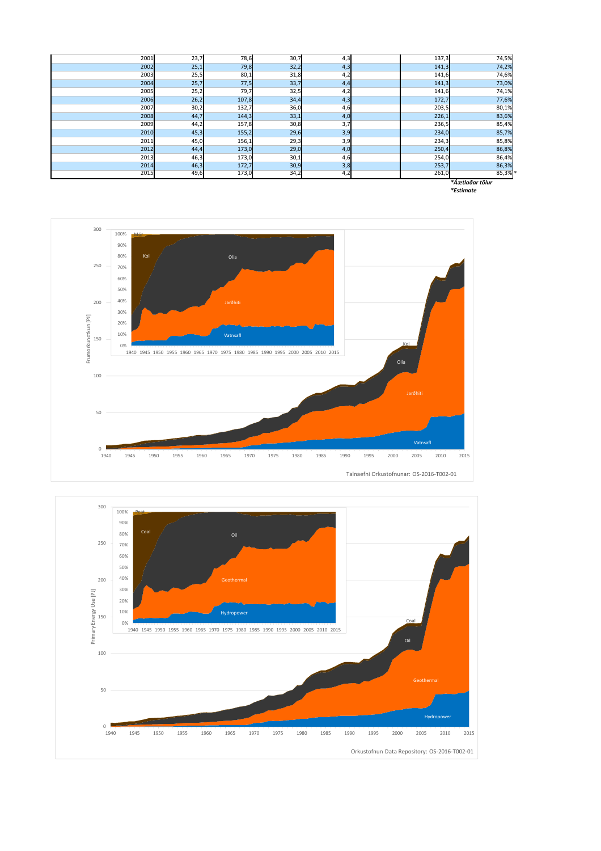| *Áætlaðar tölur |      |       |      |     |  |       |       |  |  |
|-----------------|------|-------|------|-----|--|-------|-------|--|--|
| 2015            | 49,6 | 173,0 | 34,2 | 4,2 |  | 261,0 | 85,3% |  |  |
| 2014            | 46,3 | 172,7 | 30,9 | 3,8 |  | 253,7 | 86,3% |  |  |
| 2013            | 46,3 | 173,0 | 30,1 | 4,6 |  | 254,0 | 86,4% |  |  |
| 2012            | 44,4 | 173,0 | 29,0 | 4,0 |  | 250,4 | 86,8% |  |  |
| 2011            | 45,0 | 156,1 | 29,3 | 3,9 |  | 234,3 | 85,8% |  |  |
| 2010            | 45,3 | 155,2 | 29,6 | 3,9 |  | 234,0 | 85,7% |  |  |
| 2009            | 44,2 | 157,8 | 30,8 | 3,7 |  | 236,5 | 85,4% |  |  |
| 2008            | 44,7 | 144,3 | 33,1 | 4,0 |  | 226,1 | 83,6% |  |  |
| 2007            | 30,2 | 132,7 | 36,0 | 4,6 |  | 203,5 | 80,1% |  |  |
| 2006            | 26,2 | 107,8 | 34,4 | 4,3 |  | 172,7 | 77,6% |  |  |
| 2005            | 25,2 | 79,7  | 32,5 | 4,2 |  | 141,6 | 74,1% |  |  |
| 2004            | 25,7 | 77,5  | 33,7 | 4,4 |  | 141,3 | 73,0% |  |  |
| 2003            | 25,5 | 80,1  | 31,8 | 4,2 |  | 141,6 | 74,6% |  |  |
| 2002            | 25,1 | 79,8  | 32,2 | 4,3 |  | 141,3 | 74,2% |  |  |
| 2001            | 23,7 | 78,6  | 30,7 | 4,3 |  | 137,3 | 74,5% |  |  |

*\*Estimate*